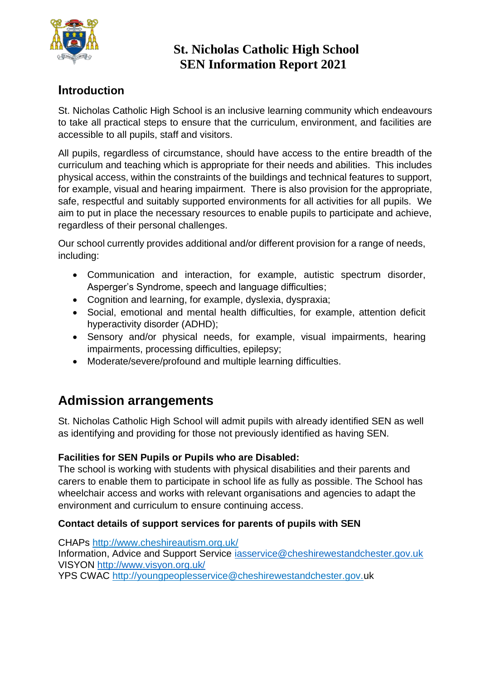

### **Introduction**

St. Nicholas Catholic High School is an inclusive learning community which endeavours to take all practical steps to ensure that the curriculum, environment, and facilities are accessible to all pupils, staff and visitors.

All pupils, regardless of circumstance, should have access to the entire breadth of the curriculum and teaching which is appropriate for their needs and abilities. This includes physical access, within the constraints of the buildings and technical features to support, for example, visual and hearing impairment. There is also provision for the appropriate, safe, respectful and suitably supported environments for all activities for all pupils. We aim to put in place the necessary resources to enable pupils to participate and achieve, regardless of their personal challenges.

Our school currently provides additional and/or different provision for a range of needs, including:

- Communication and interaction, for example, autistic spectrum disorder, Asperger's Syndrome, speech and language difficulties;
- Cognition and learning, for example, dyslexia, dyspraxia;
- Social, emotional and mental health difficulties, for example, attention deficit hyperactivity disorder (ADHD);
- Sensory and/or physical needs, for example, visual impairments, hearing impairments, processing difficulties, epilepsy;
- Moderate/severe/profound and multiple learning difficulties.

# **Admission arrangements**

St. Nicholas Catholic High School will admit pupils with already identified SEN as well as identifying and providing for those not previously identified as having SEN.

#### **Facilities for SEN Pupils or Pupils who are Disabled:**

The school is working with students with physical disabilities and their parents and carers to enable them to participate in school life as fully as possible. The School has wheelchair access and works with relevant organisations and agencies to adapt the environment and curriculum to ensure continuing access.

#### **Contact details of support services for parents of pupils with SEN**

CHAPs http://www.cheshireautism.org.uk/ Information, Advice and Support Service [iasservice@cheshirewestandchester.gov.uk](mailto:iasservice@cheshirewestandchester.gov.uk) VISYON<http://www.visyon.org.uk/>

YPS CWAC http://youngpeoplesservice@cheshirewestandchester.gov.uk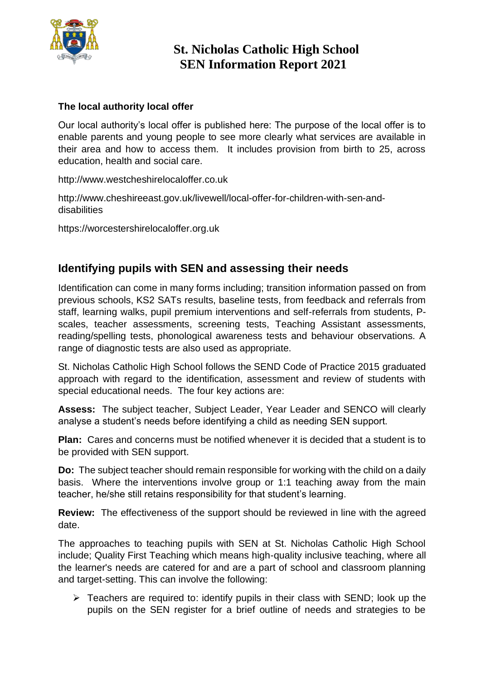

#### **The local authority local offer**

Our local authority's local offer is published here: The purpose of the local offer is to enable parents and young people to see more clearly what services are available in their area and how to access them. It includes provision from birth to 25, across education, health and social care.

http://www.westcheshirelocaloffer.co.uk

http://www.cheshireeast.gov.uk/livewell/local-offer-for-children-with-sen-anddisabilities

https://worcestershirelocaloffer.org.uk

### **Identifying pupils with SEN and assessing their needs**

Identification can come in many forms including; transition information passed on from previous schools, KS2 SATs results, baseline tests, from feedback and referrals from staff, learning walks, pupil premium interventions and self-referrals from students, Pscales, teacher assessments, screening tests, Teaching Assistant assessments, reading/spelling tests, phonological awareness tests and behaviour observations. A range of diagnostic tests are also used as appropriate.

St. Nicholas Catholic High School follows the SEND Code of Practice 2015 graduated approach with regard to the identification, assessment and review of students with special educational needs. The four key actions are:

**Assess:** The subject teacher, Subject Leader, Year Leader and SENCO will clearly analyse a student's needs before identifying a child as needing SEN support.

**Plan:** Cares and concerns must be notified whenever it is decided that a student is to be provided with SEN support.

**Do:** The subject teacher should remain responsible for working with the child on a daily basis. Where the interventions involve group or 1:1 teaching away from the main teacher, he/she still retains responsibility for that student's learning.

**Review:** The effectiveness of the support should be reviewed in line with the agreed date.

The approaches to teaching pupils with SEN at St. Nicholas Catholic High School include; Quality First Teaching which means high-quality inclusive teaching, where all the learner's needs are catered for and are a part of school and classroom planning and target-setting. This can involve the following:

 $\triangleright$  Teachers are required to: identify pupils in their class with SEND; look up the pupils on the SEN register for a brief outline of needs and strategies to be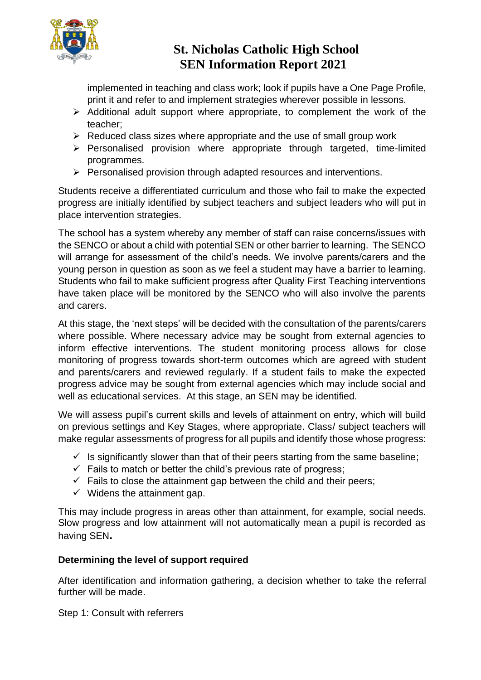

implemented in teaching and class work; look if pupils have a One Page Profile, print it and refer to and implement strategies wherever possible in lessons.

- ➢ Additional adult support where appropriate, to complement the work of the teacher;
- $\triangleright$  Reduced class sizes where appropriate and the use of small group work
- ➢ Personalised provision where appropriate through targeted, time-limited programmes.
- ➢ Personalised provision through adapted resources and interventions.

Students receive a differentiated curriculum and those who fail to make the expected progress are initially identified by subject teachers and subject leaders who will put in place intervention strategies.

The school has a system whereby any member of staff can raise concerns/issues with the SENCO or about a child with potential SEN or other barrier to learning. The SENCO will arrange for assessment of the child's needs. We involve parents/carers and the young person in question as soon as we feel a student may have a barrier to learning. Students who fail to make sufficient progress after Quality First Teaching interventions have taken place will be monitored by the SENCO who will also involve the parents and carers.

At this stage, the 'next steps' will be decided with the consultation of the parents/carers where possible. Where necessary advice may be sought from external agencies to inform effective interventions. The student monitoring process allows for close monitoring of progress towards short-term outcomes which are agreed with student and parents/carers and reviewed regularly. If a student fails to make the expected progress advice may be sought from external agencies which may include social and well as educational services. At this stage, an SEN may be identified.

We will assess pupil's current skills and levels of attainment on entry, which will build on previous settings and Key Stages, where appropriate. Class/ subject teachers will make regular assessments of progress for all pupils and identify those whose progress:

- $\checkmark$  Is significantly slower than that of their peers starting from the same baseline;
- $\checkmark$  Fails to match or better the child's previous rate of progress;
- $\checkmark$  Fails to close the attainment gap between the child and their peers;
- $\checkmark$  Widens the attainment gap.

This may include progress in areas other than attainment, for example, social needs. Slow progress and low attainment will not automatically mean a pupil is recorded as having SEN**.** 

#### **Determining the level of support required**

After identification and information gathering, a decision whether to take the referral further will be made.

Step 1: Consult with referrers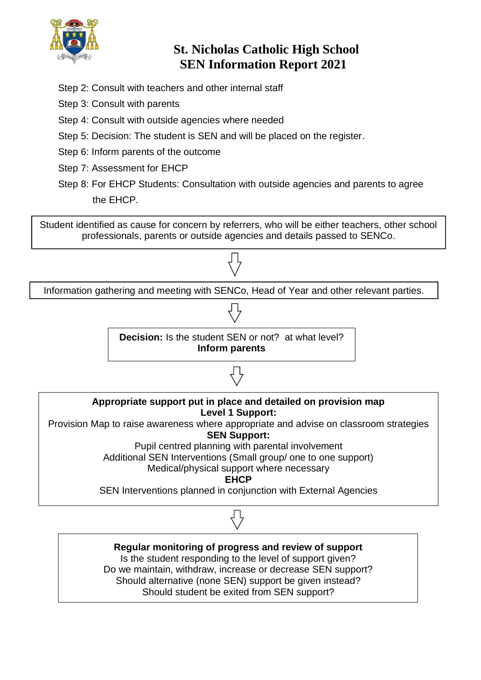

- Step 2: Consult with teachers and other internal staff
- Step 3: Consult with parents
- Step 4: Consult with outside agencies where needed
- Step 5: Decision: The student is SEN and will be placed on the register.
- Step 6: Inform parents of the outcome
- Step 7: Assessment for EHCP
- Step 8: For EHCP Students: Consultation with outside agencies and parents to agree the EHCP.

Student identified as cause for concern by referrers, who will be either teachers, other school professionals, parents or outside agencies and details passed to SENCo.



Is the student responding to the level of support given? Do we maintain, withdraw, increase or decrease SEN support? Should alternative (none SEN) support be given instead? Should student be exited from SEN support?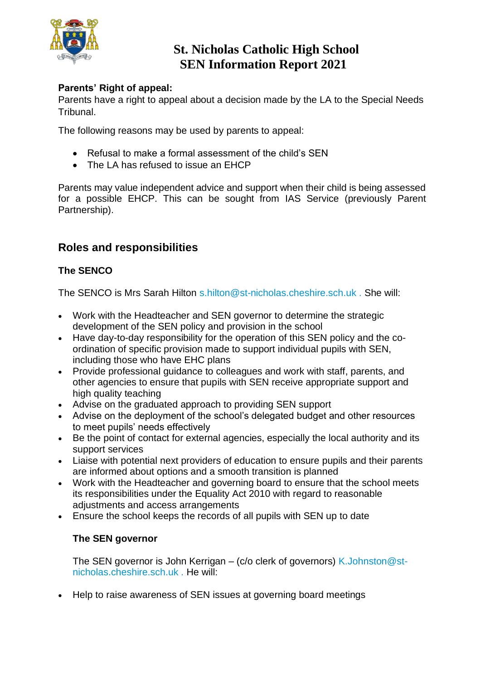

#### **Parents' Right of appeal:**

Parents have a right to appeal about a decision made by the LA to the Special Needs Tribunal.

The following reasons may be used by parents to appeal:

- Refusal to make a formal assessment of the child's SEN
- The LA has refused to issue an EHCP

Parents may value independent advice and support when their child is being assessed for a possible EHCP. This can be sought from IAS Service (previously Parent Partnership).

### **Roles and responsibilities**

#### **The SENCO**

The SENCO is Mrs Sarah Hilton s.hilton@st-nicholas.cheshire.sch.uk . She will:

- Work with the Headteacher and SEN governor to determine the strategic development of the SEN policy and provision in the school
- Have day-to-day responsibility for the operation of this SEN policy and the coordination of specific provision made to support individual pupils with SEN, including those who have EHC plans
- Provide professional guidance to colleagues and work with staff, parents, and other agencies to ensure that pupils with SEN receive appropriate support and high quality teaching
- Advise on the graduated approach to providing SEN support
- Advise on the deployment of the school's delegated budget and other resources to meet pupils' needs effectively
- Be the point of contact for external agencies, especially the local authority and its support services
- Liaise with potential next providers of education to ensure pupils and their parents are informed about options and a smooth transition is planned
- Work with the Headteacher and governing board to ensure that the school meets its responsibilities under the Equality Act 2010 with regard to reasonable adjustments and access arrangements
- Ensure the school keeps the records of all pupils with SEN up to date

#### **The SEN governor**

The SEN governor is John Kerrigan – (c/o clerk of governors) K.Johnston@stnicholas.cheshire.sch.uk . He will:

• Help to raise awareness of SEN issues at governing board meetings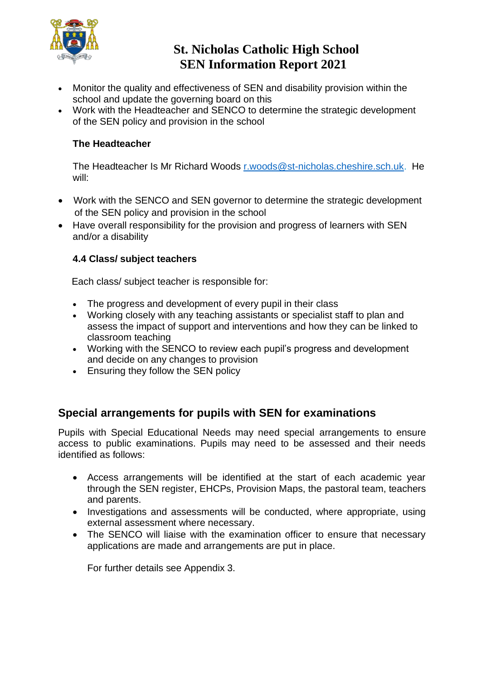

- Monitor the quality and effectiveness of SEN and disability provision within the school and update the governing board on this
- Work with the Headteacher and SENCO to determine the strategic development of the SEN policy and provision in the school

#### **The Headteacher**

The Headteacher Is Mr Richard Woods [r.woods@st-nicholas.cheshire.sch.uk.](mailto:r.woods@st-nicholas.cheshire.sch.uk) He will:

- Work with the SENCO and SEN governor to determine the strategic development of the SEN policy and provision in the school
- Have overall responsibility for the provision and progress of learners with SEN and/or a disability

#### **4.4 Class/ subject teachers**

Each class/ subject teacher is responsible for:

- The progress and development of every pupil in their class
- Working closely with any teaching assistants or specialist staff to plan and assess the impact of support and interventions and how they can be linked to classroom teaching
- Working with the SENCO to review each pupil's progress and development and decide on any changes to provision
- Ensuring they follow the SEN policy

### **Special arrangements for pupils with SEN for examinations**

Pupils with Special Educational Needs may need special arrangements to ensure access to public examinations. Pupils may need to be assessed and their needs identified as follows:

- Access arrangements will be identified at the start of each academic year through the SEN register, EHCPs, Provision Maps, the pastoral team, teachers and parents.
- Investigations and assessments will be conducted, where appropriate, using external assessment where necessary.
- The SENCO will liaise with the examination officer to ensure that necessary applications are made and arrangements are put in place.

For further details see Appendix 3.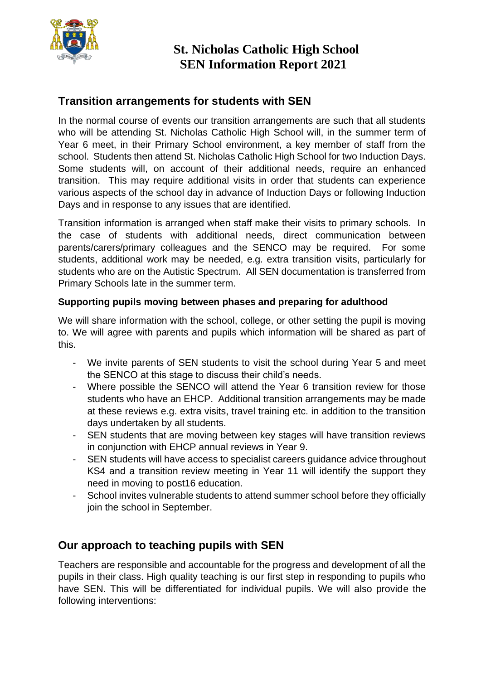

### **Transition arrangements for students with SEN**

In the normal course of events our transition arrangements are such that all students who will be attending St. Nicholas Catholic High School will, in the summer term of Year 6 meet, in their Primary School environment, a key member of staff from the school. Students then attend St. Nicholas Catholic High School for two Induction Days. Some students will, on account of their additional needs, require an enhanced transition. This may require additional visits in order that students can experience various aspects of the school day in advance of Induction Days or following Induction Days and in response to any issues that are identified.

Transition information is arranged when staff make their visits to primary schools. In the case of students with additional needs, direct communication between parents/carers/primary colleagues and the SENCO may be required. For some students, additional work may be needed, e.g. extra transition visits, particularly for students who are on the Autistic Spectrum. All SEN documentation is transferred from Primary Schools late in the summer term.

#### **Supporting pupils moving between phases and preparing for adulthood**

We will share information with the school, college, or other setting the pupil is moving to. We will agree with parents and pupils which information will be shared as part of this.

- We invite parents of SEN students to visit the school during Year 5 and meet the SENCO at this stage to discuss their child's needs.
- Where possible the SENCO will attend the Year 6 transition review for those students who have an EHCP. Additional transition arrangements may be made at these reviews e.g. extra visits, travel training etc. in addition to the transition days undertaken by all students.
- SEN students that are moving between key stages will have transition reviews in conjunction with EHCP annual reviews in Year 9.
- SEN students will have access to specialist careers guidance advice throughout KS4 and a transition review meeting in Year 11 will identify the support they need in moving to post16 education.
- School invites vulnerable students to attend summer school before they officially join the school in September.

### **Our approach to teaching pupils with SEN**

Teachers are responsible and accountable for the progress and development of all the pupils in their class. High quality teaching is our first step in responding to pupils who have SEN. This will be differentiated for individual pupils. We will also provide the following interventions: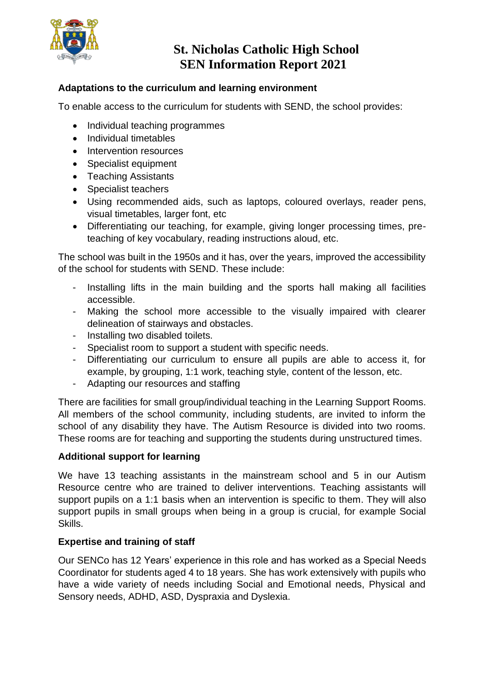

#### **Adaptations to the curriculum and learning environment**

To enable access to the curriculum for students with SEND, the school provides:

- Individual teaching programmes
- Individual timetables
- Intervention resources
- Specialist equipment
- Teaching Assistants
- Specialist teachers
- Using recommended aids, such as laptops, coloured overlays, reader pens, visual timetables, larger font, etc
- Differentiating our teaching, for example, giving longer processing times, preteaching of key vocabulary, reading instructions aloud, etc.

The school was built in the 1950s and it has, over the years, improved the accessibility of the school for students with SEND. These include:

- Installing lifts in the main building and the sports hall making all facilities accessible.
- Making the school more accessible to the visually impaired with clearer delineation of stairways and obstacles.
- Installing two disabled toilets.
- Specialist room to support a student with specific needs.
- Differentiating our curriculum to ensure all pupils are able to access it, for example, by grouping, 1:1 work, teaching style, content of the lesson, etc.
- Adapting our resources and staffing

There are facilities for small group/individual teaching in the Learning Support Rooms. All members of the school community, including students, are invited to inform the school of any disability they have. The Autism Resource is divided into two rooms. These rooms are for teaching and supporting the students during unstructured times.

#### **Additional support for learning**

We have 13 teaching assistants in the mainstream school and 5 in our Autism Resource centre who are trained to deliver interventions. Teaching assistants will support pupils on a 1:1 basis when an intervention is specific to them. They will also support pupils in small groups when being in a group is crucial, for example Social Skills.

#### **Expertise and training of staff**

Our SENCo has 12 Years' experience in this role and has worked as a Special Needs Coordinator for students aged 4 to 18 years. She has work extensively with pupils who have a wide variety of needs including Social and Emotional needs, Physical and Sensory needs, ADHD, ASD, Dyspraxia and Dyslexia.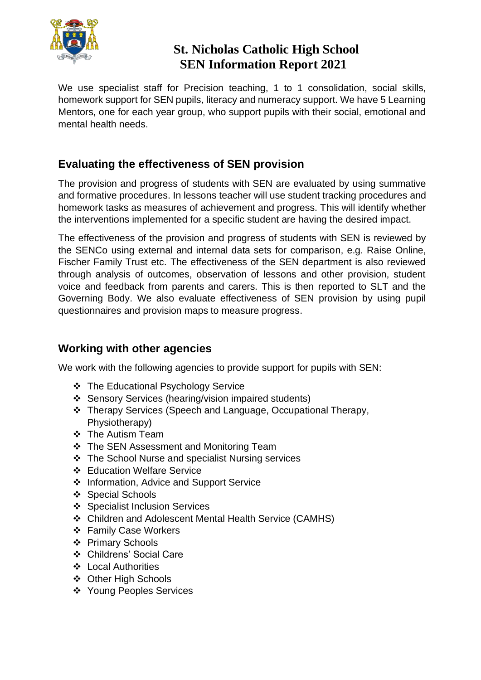

We use specialist staff for Precision teaching, 1 to 1 consolidation, social skills, homework support for SEN pupils, literacy and numeracy support. We have 5 Learning Mentors, one for each year group, who support pupils with their social, emotional and mental health needs.

### **Evaluating the effectiveness of SEN provision**

The provision and progress of students with SEN are evaluated by using summative and formative procedures. In lessons teacher will use student tracking procedures and homework tasks as measures of achievement and progress. This will identify whether the interventions implemented for a specific student are having the desired impact.

The effectiveness of the provision and progress of students with SEN is reviewed by the SENCo using external and internal data sets for comparison, e.g. Raise Online, Fischer Family Trust etc. The effectiveness of the SEN department is also reviewed through analysis of outcomes, observation of lessons and other provision, student voice and feedback from parents and carers. This is then reported to SLT and the Governing Body. We also evaluate effectiveness of SEN provision by using pupil questionnaires and provision maps to measure progress.

### **Working with other agencies**

We work with the following agencies to provide support for pupils with SEN:

- ❖ The Educational Psychology Service
- ❖ Sensory Services (hearing/vision impaired students)
- ❖ Therapy Services (Speech and Language, Occupational Therapy, Physiotherapy)
- ❖ The Autism Team
- ❖ The SEN Assessment and Monitoring Team
- ❖ The School Nurse and specialist Nursing services
- ❖ Education Welfare Service
- ❖ Information, Advice and Support Service
- ❖ Special Schools
- ❖ Specialist Inclusion Services
- ❖ Children and Adolescent Mental Health Service (CAMHS)
- ❖ Family Case Workers
- ❖ Primary Schools
- ❖ Childrens' Social Care
- ❖ Local Authorities
- ❖ Other High Schools
- ❖ Young Peoples Services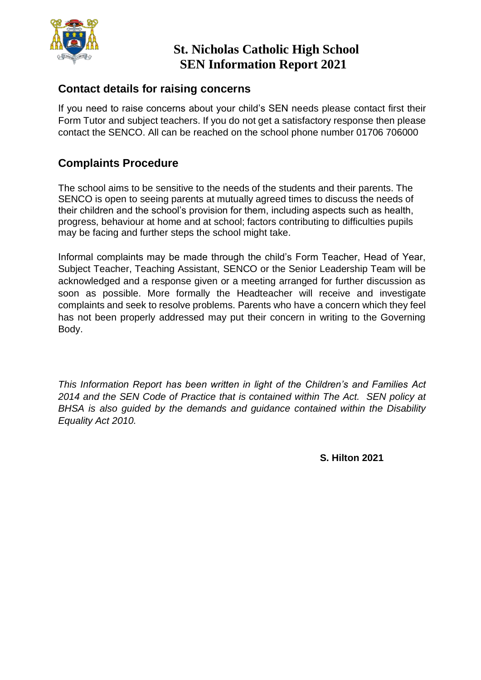

### **Contact details for raising concerns**

If you need to raise concerns about your child's SEN needs please contact first their Form Tutor and subject teachers. If you do not get a satisfactory response then please contact the SENCO. All can be reached on the school phone number 01706 706000

### **Complaints Procedure**

The school aims to be sensitive to the needs of the students and their parents. The SENCO is open to seeing parents at mutually agreed times to discuss the needs of their children and the school's provision for them, including aspects such as health, progress, behaviour at home and at school; factors contributing to difficulties pupils may be facing and further steps the school might take.

Informal complaints may be made through the child's Form Teacher, Head of Year, Subject Teacher, Teaching Assistant, SENCO or the Senior Leadership Team will be acknowledged and a response given or a meeting arranged for further discussion as soon as possible. More formally the Headteacher will receive and investigate complaints and seek to resolve problems. Parents who have a concern which they feel has not been properly addressed may put their concern in writing to the Governing Body.

*This Information Report has been written in light of the Children's and Families Act 2014 and the SEN Code of Practice that is contained within The Act. SEN policy at BHSA is also guided by the demands and guidance contained within the Disability Equality Act 2010.*

**S. Hilton 2021**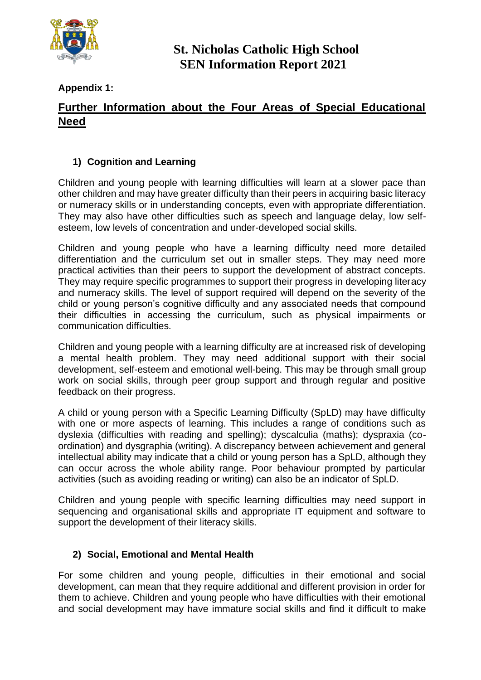

**Appendix 1:** 

### **Further Information about the Four Areas of Special Educational Need**

#### **1) Cognition and Learning**

Children and young people with learning difficulties will learn at a slower pace than other children and may have greater difficulty than their peers in acquiring basic literacy or numeracy skills or in understanding concepts, even with appropriate differentiation. They may also have other difficulties such as speech and language delay, low selfesteem, low levels of concentration and under-developed social skills.

Children and young people who have a learning difficulty need more detailed differentiation and the curriculum set out in smaller steps. They may need more practical activities than their peers to support the development of abstract concepts. They may require specific programmes to support their progress in developing literacy and numeracy skills. The level of support required will depend on the severity of the child or young person's cognitive difficulty and any associated needs that compound their difficulties in accessing the curriculum, such as physical impairments or communication difficulties.

Children and young people with a learning difficulty are at increased risk of developing a mental health problem. They may need additional support with their social development, self-esteem and emotional well-being. This may be through small group work on social skills, through peer group support and through regular and positive feedback on their progress.

A child or young person with a Specific Learning Difficulty (SpLD) may have difficulty with one or more aspects of learning. This includes a range of conditions such as dyslexia (difficulties with reading and spelling); dyscalculia (maths); dyspraxia (coordination) and dysgraphia (writing). A discrepancy between achievement and general intellectual ability may indicate that a child or young person has a SpLD, although they can occur across the whole ability range. Poor behaviour prompted by particular activities (such as avoiding reading or writing) can also be an indicator of SpLD.

Children and young people with specific learning difficulties may need support in sequencing and organisational skills and appropriate IT equipment and software to support the development of their literacy skills.

#### **2) Social, Emotional and Mental Health**

For some children and young people, difficulties in their emotional and social development, can mean that they require additional and different provision in order for them to achieve. Children and young people who have difficulties with their emotional and social development may have immature social skills and find it difficult to make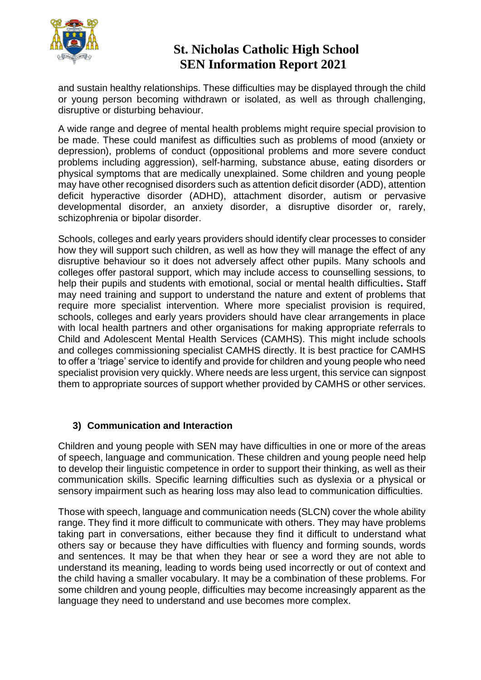

and sustain healthy relationships. These difficulties may be displayed through the child or young person becoming withdrawn or isolated, as well as through challenging, disruptive or disturbing behaviour.

A wide range and degree of mental health problems might require special provision to be made. These could manifest as difficulties such as problems of mood (anxiety or depression), problems of conduct (oppositional problems and more severe conduct problems including aggression), self-harming, substance abuse, eating disorders or physical symptoms that are medically unexplained. Some children and young people may have other recognised disorders such as attention deficit disorder (ADD), attention deficit hyperactive disorder (ADHD), attachment disorder, autism or pervasive developmental disorder, an anxiety disorder, a disruptive disorder or, rarely, schizophrenia or bipolar disorder.

Schools, colleges and early years providers should identify clear processes to consider how they will support such children, as well as how they will manage the effect of any disruptive behaviour so it does not adversely affect other pupils. Many schools and colleges offer pastoral support, which may include access to counselling sessions, to help their pupils and students with emotional, social or mental health difficulties**.** Staff may need training and support to understand the nature and extent of problems that require more specialist intervention. Where more specialist provision is required, schools, colleges and early years providers should have clear arrangements in place with local health partners and other organisations for making appropriate referrals to Child and Adolescent Mental Health Services (CAMHS). This might include schools and colleges commissioning specialist CAMHS directly. It is best practice for CAMHS to offer a 'triage' service to identify and provide for children and young people who need specialist provision very quickly. Where needs are less urgent, this service can signpost them to appropriate sources of support whether provided by CAMHS or other services.

#### **3) Communication and Interaction**

Children and young people with SEN may have difficulties in one or more of the areas of speech, language and communication. These children and young people need help to develop their linguistic competence in order to support their thinking, as well as their communication skills. Specific learning difficulties such as dyslexia or a physical or sensory impairment such as hearing loss may also lead to communication difficulties.

Those with speech, language and communication needs (SLCN) cover the whole ability range. They find it more difficult to communicate with others. They may have problems taking part in conversations, either because they find it difficult to understand what others say or because they have difficulties with fluency and forming sounds, words and sentences. It may be that when they hear or see a word they are not able to understand its meaning, leading to words being used incorrectly or out of context and the child having a smaller vocabulary. It may be a combination of these problems. For some children and young people, difficulties may become increasingly apparent as the language they need to understand and use becomes more complex.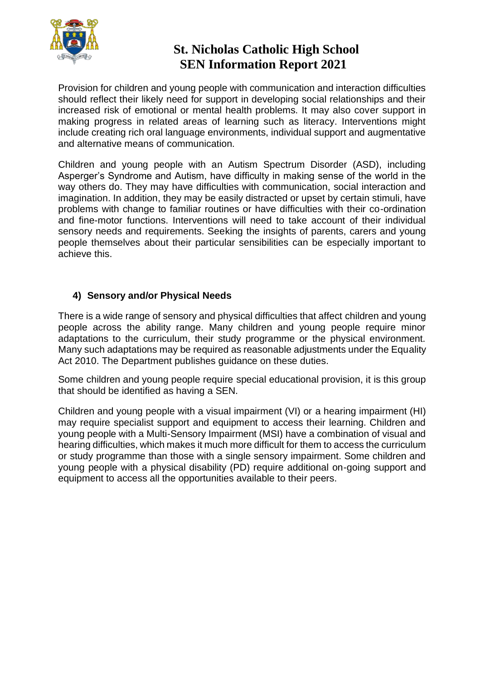

Provision for children and young people with communication and interaction difficulties should reflect their likely need for support in developing social relationships and their increased risk of emotional or mental health problems. It may also cover support in making progress in related areas of learning such as literacy. Interventions might include creating rich oral language environments, individual support and augmentative and alternative means of communication.

Children and young people with an Autism Spectrum Disorder (ASD), including Asperger's Syndrome and Autism, have difficulty in making sense of the world in the way others do. They may have difficulties with communication, social interaction and imagination. In addition, they may be easily distracted or upset by certain stimuli, have problems with change to familiar routines or have difficulties with their co-ordination and fine-motor functions. Interventions will need to take account of their individual sensory needs and requirements. Seeking the insights of parents, carers and young people themselves about their particular sensibilities can be especially important to achieve this.

#### **4) Sensory and/or Physical Needs**

There is a wide range of sensory and physical difficulties that affect children and young people across the ability range. Many children and young people require minor adaptations to the curriculum, their study programme or the physical environment. Many such adaptations may be required as reasonable adjustments under the Equality Act 2010. The Department publishes guidance on these duties.

Some children and young people require special educational provision, it is this group that should be identified as having a SEN.

Children and young people with a visual impairment (VI) or a hearing impairment (HI) may require specialist support and equipment to access their learning. Children and young people with a Multi-Sensory Impairment (MSI) have a combination of visual and hearing difficulties, which makes it much more difficult for them to access the curriculum or study programme than those with a single sensory impairment. Some children and young people with a physical disability (PD) require additional on-going support and equipment to access all the opportunities available to their peers.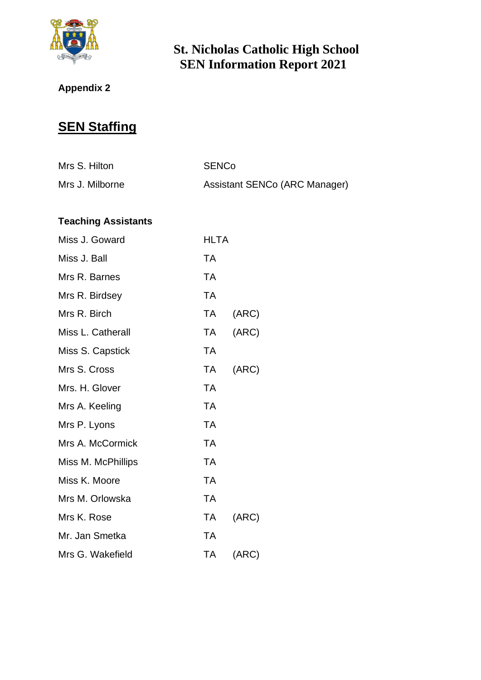

# **Appendix 2**

# **SEN Staffing**

| Mrs S. Hilton   | <b>SENCo</b>                  |
|-----------------|-------------------------------|
| Mrs J. Milborne | Assistant SENCo (ARC Manager) |

### **Teaching Assistants**

| Miss J. Goward     | <b>HLTA</b> |       |
|--------------------|-------------|-------|
| Miss J. Ball       | <b>TA</b>   |       |
| Mrs R. Barnes      | <b>TA</b>   |       |
| Mrs R. Birdsey     | <b>TA</b>   |       |
| Mrs R. Birch       | <b>TA</b>   | (ARC) |
| Miss L. Catherall  | TA .        | (ARC) |
| Miss S. Capstick   | <b>TA</b>   |       |
| Mrs S. Cross       | TA          | (ARC) |
| Mrs. H. Glover     | <b>TA</b>   |       |
| Mrs A. Keeling     | <b>TA</b>   |       |
| Mrs P. Lyons       | <b>TA</b>   |       |
| Mrs A. McCormick   | <b>TA</b>   |       |
| Miss M. McPhillips | <b>TA</b>   |       |
| Miss K. Moore      | TA          |       |
| Mrs M. Orlowska    | <b>TA</b>   |       |
| Mrs K. Rose        | TA          | (ARC) |
| Mr. Jan Smetka     | <b>TA</b>   |       |
| Mrs G. Wakefield   | <b>TA</b>   | (ARC) |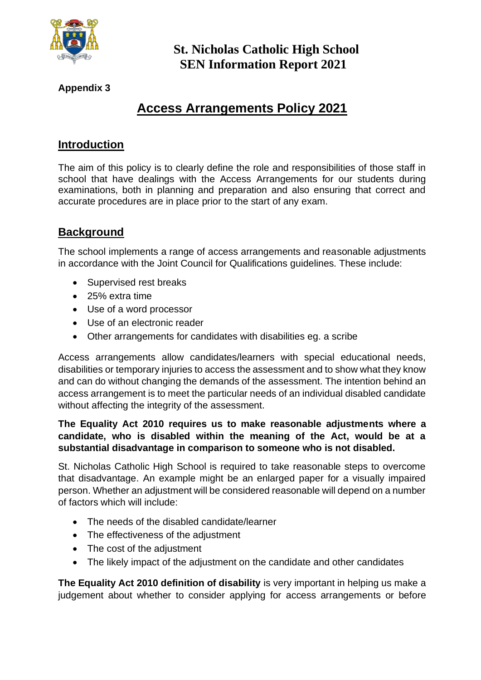

### **Appendix 3**

# **Access Arrangements Policy 2021**

### **Introduction**

The aim of this policy is to clearly define the role and responsibilities of those staff in school that have dealings with the Access Arrangements for our students during examinations, both in planning and preparation and also ensuring that correct and accurate procedures are in place prior to the start of any exam.

### **Background**

The school implements a range of access arrangements and reasonable adjustments in accordance with the Joint Council for Qualifications guidelines. These include:

- Supervised rest breaks
- 25% extra time
- Use of a word processor
- Use of an electronic reader
- Other arrangements for candidates with disabilities eg. a scribe

Access arrangements allow candidates/learners with special educational needs, disabilities or temporary injuries to access the assessment and to show what they know and can do without changing the demands of the assessment. The intention behind an access arrangement is to meet the particular needs of an individual disabled candidate without affecting the integrity of the assessment.

#### **The Equality Act 2010 requires us to make reasonable adjustments where a candidate, who is disabled within the meaning of the Act, would be at a substantial disadvantage in comparison to someone who is not disabled.**

St. Nicholas Catholic High School is required to take reasonable steps to overcome that disadvantage. An example might be an enlarged paper for a visually impaired person. Whether an adjustment will be considered reasonable will depend on a number of factors which will include:

- The needs of the disabled candidate/learner
- The effectiveness of the adjustment
- The cost of the adjustment
- The likely impact of the adjustment on the candidate and other candidates

**The Equality Act 2010 definition of disability** is very important in helping us make a judgement about whether to consider applying for access arrangements or before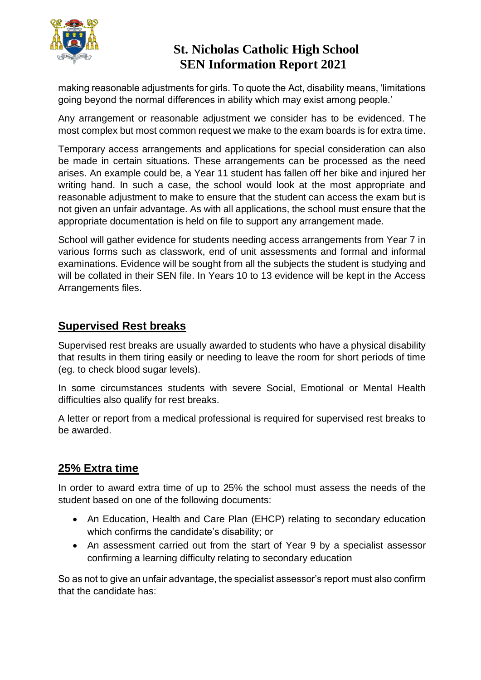

making reasonable adjustments for girls. To quote the Act, disability means, 'limitations going beyond the normal differences in ability which may exist among people.'

Any arrangement or reasonable adjustment we consider has to be evidenced. The most complex but most common request we make to the exam boards is for extra time.

Temporary access arrangements and applications for special consideration can also be made in certain situations. These arrangements can be processed as the need arises. An example could be, a Year 11 student has fallen off her bike and injured her writing hand. In such a case, the school would look at the most appropriate and reasonable adjustment to make to ensure that the student can access the exam but is not given an unfair advantage. As with all applications, the school must ensure that the appropriate documentation is held on file to support any arrangement made.

School will gather evidence for students needing access arrangements from Year 7 in various forms such as classwork, end of unit assessments and formal and informal examinations. Evidence will be sought from all the subjects the student is studying and will be collated in their SEN file. In Years 10 to 13 evidence will be kept in the Access Arrangements files.

### **Supervised Rest breaks**

Supervised rest breaks are usually awarded to students who have a physical disability that results in them tiring easily or needing to leave the room for short periods of time (eg. to check blood sugar levels).

In some circumstances students with severe Social, Emotional or Mental Health difficulties also qualify for rest breaks.

A letter or report from a medical professional is required for supervised rest breaks to be awarded.

### **25% Extra time**

In order to award extra time of up to 25% the school must assess the needs of the student based on one of the following documents:

- An Education, Health and Care Plan (EHCP) relating to secondary education which confirms the candidate's disability; or
- An assessment carried out from the start of Year 9 by a specialist assessor confirming a learning difficulty relating to secondary education

So as not to give an unfair advantage, the specialist assessor's report must also confirm that the candidate has: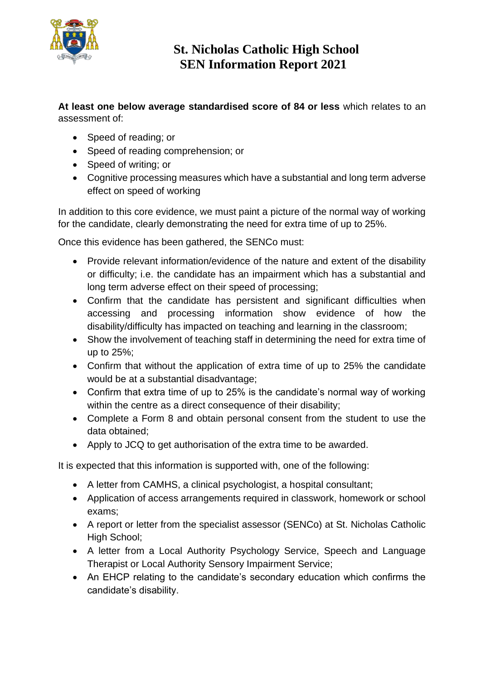

**At least one below average standardised score of 84 or less** which relates to an assessment of:

- Speed of reading; or
- Speed of reading comprehension; or
- Speed of writing; or
- Cognitive processing measures which have a substantial and long term adverse effect on speed of working

In addition to this core evidence, we must paint a picture of the normal way of working for the candidate, clearly demonstrating the need for extra time of up to 25%.

Once this evidence has been gathered, the SENCo must:

- Provide relevant information/evidence of the nature and extent of the disability or difficulty; i.e. the candidate has an impairment which has a substantial and long term adverse effect on their speed of processing;
- Confirm that the candidate has persistent and significant difficulties when accessing and processing information show evidence of how the disability/difficulty has impacted on teaching and learning in the classroom;
- Show the involvement of teaching staff in determining the need for extra time of up to 25%;
- Confirm that without the application of extra time of up to 25% the candidate would be at a substantial disadvantage;
- Confirm that extra time of up to 25% is the candidate's normal way of working within the centre as a direct consequence of their disability;
- Complete a Form 8 and obtain personal consent from the student to use the data obtained;
- Apply to JCQ to get authorisation of the extra time to be awarded.

It is expected that this information is supported with, one of the following:

- A letter from CAMHS, a clinical psychologist, a hospital consultant:
- Application of access arrangements required in classwork, homework or school exams;
- A report or letter from the specialist assessor (SENCo) at St. Nicholas Catholic High School;
- A letter from a Local Authority Psychology Service, Speech and Language Therapist or Local Authority Sensory Impairment Service;
- An EHCP relating to the candidate's secondary education which confirms the candidate's disability.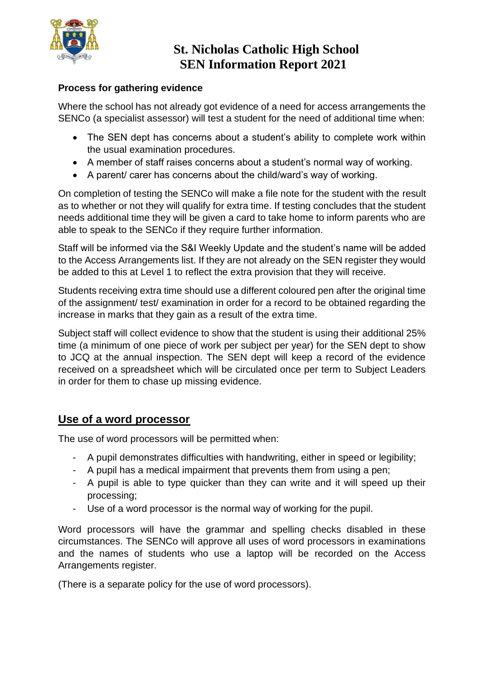

#### **Process for gathering evidence**

Where the school has not already got evidence of a need for access arrangements the SENCo (a specialist assessor) will test a student for the need of additional time when:

- The SEN dept has concerns about a student's ability to complete work within the usual examination procedures.
- A member of staff raises concerns about a student's normal way of working.
- A parent/ carer has concerns about the child/ward's way of working.

On completion of testing the SENCo will make a file note for the student with the result as to whether or not they will qualify for extra time. If testing concludes that the student needs additional time they will be given a card to take home to inform parents who are able to speak to the SENCo if they require further information.

Staff will be informed via the S&I Weekly Update and the student's name will be added to the Access Arrangements list. If they are not already on the SEN register they would be added to this at Level 1 to reflect the extra provision that they will receive.

Students receiving extra time should use a different coloured pen after the original time of the assignment/ test/ examination in order for a record to be obtained regarding the increase in marks that they gain as a result of the extra time.

Subject staff will collect evidence to show that the student is using their additional 25% time (a minimum of one piece of work per subject per year) for the SEN dept to show to JCQ at the annual inspection. The SEN dept will keep a record of the evidence received on a spreadsheet which will be circulated once per term to Subject Leaders in order for them to chase up missing evidence.

#### **Use of a word processor**

The use of word processors will be permitted when:

- A pupil demonstrates difficulties with handwriting, either in speed or legibility;
- A pupil has a medical impairment that prevents them from using a pen;
- A pupil is able to type quicker than they can write and it will speed up their processing;
- Use of a word processor is the normal way of working for the pupil.

Word processors will have the grammar and spelling checks disabled in these circumstances. The SENCo will approve all uses of word processors in examinations and the names of students who use a laptop will be recorded on the Access Arrangements register.

(There is a separate policy for the use of word processors).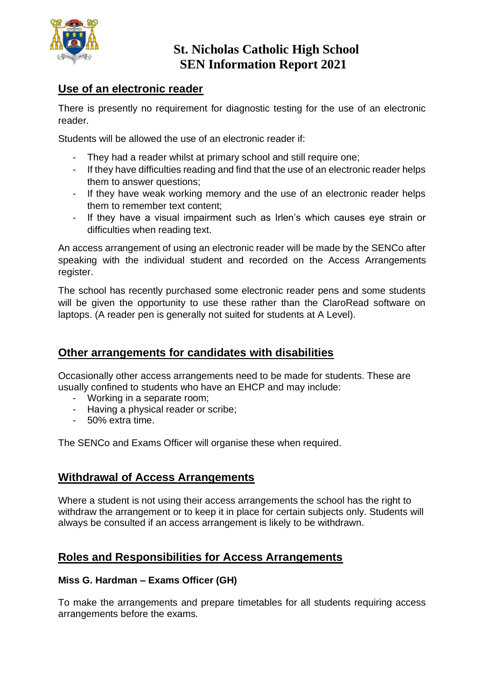

### **Use of an electronic reader**

There is presently no requirement for diagnostic testing for the use of an electronic reader.

Students will be allowed the use of an electronic reader if:

- They had a reader whilst at primary school and still require one;
- If they have difficulties reading and find that the use of an electronic reader helps them to answer questions;
- If they have weak working memory and the use of an electronic reader helps them to remember text content;
- If they have a visual impairment such as Irlen's which causes eye strain or difficulties when reading text.

An access arrangement of using an electronic reader will be made by the SENCo after speaking with the individual student and recorded on the Access Arrangements register.

The school has recently purchased some electronic reader pens and some students will be given the opportunity to use these rather than the ClaroRead software on laptops. (A reader pen is generally not suited for students at A Level).

### **Other arrangements for candidates with disabilities**

Occasionally other access arrangements need to be made for students. These are usually confined to students who have an EHCP and may include:

- Working in a separate room;
- Having a physical reader or scribe;
- 50% extra time.

The SENCo and Exams Officer will organise these when required.

### **Withdrawal of Access Arrangements**

Where a student is not using their access arrangements the school has the right to withdraw the arrangement or to keep it in place for certain subjects only. Students will always be consulted if an access arrangement is likely to be withdrawn.

### **Roles and Responsibilities for Access Arrangements**

#### **Miss G. Hardman – Exams Officer (GH)**

To make the arrangements and prepare timetables for all students requiring access arrangements before the exams.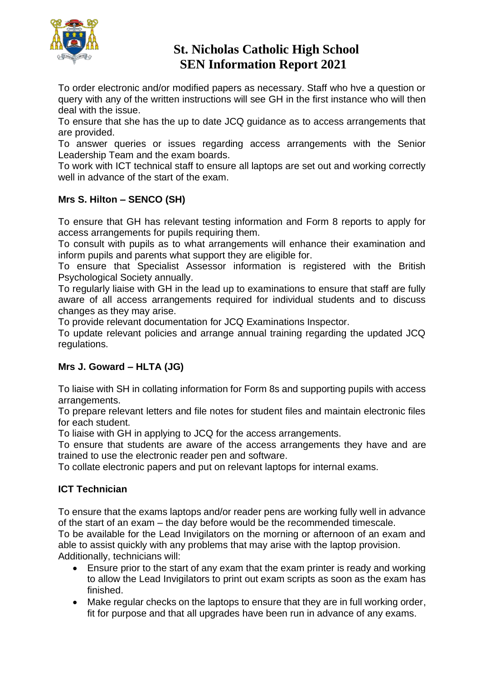

To order electronic and/or modified papers as necessary. Staff who hve a question or query with any of the written instructions will see GH in the first instance who will then deal with the issue.

To ensure that she has the up to date JCQ guidance as to access arrangements that are provided.

To answer queries or issues regarding access arrangements with the Senior Leadership Team and the exam boards.

To work with ICT technical staff to ensure all laptops are set out and working correctly well in advance of the start of the exam.

#### **Mrs S. Hilton – SENCO (SH)**

To ensure that GH has relevant testing information and Form 8 reports to apply for access arrangements for pupils requiring them.

To consult with pupils as to what arrangements will enhance their examination and inform pupils and parents what support they are eligible for.

To ensure that Specialist Assessor information is registered with the British Psychological Society annually.

To regularly liaise with GH in the lead up to examinations to ensure that staff are fully aware of all access arrangements required for individual students and to discuss changes as they may arise.

To provide relevant documentation for JCQ Examinations Inspector.

To update relevant policies and arrange annual training regarding the updated JCQ regulations.

#### **Mrs J. Goward – HLTA (JG)**

To liaise with SH in collating information for Form 8s and supporting pupils with access arrangements.

To prepare relevant letters and file notes for student files and maintain electronic files for each student.

To liaise with GH in applying to JCQ for the access arrangements.

To ensure that students are aware of the access arrangements they have and are trained to use the electronic reader pen and software.

To collate electronic papers and put on relevant laptops for internal exams.

#### **ICT Technician**

To ensure that the exams laptops and/or reader pens are working fully well in advance of the start of an exam – the day before would be the recommended timescale.

To be available for the Lead Invigilators on the morning or afternoon of an exam and able to assist quickly with any problems that may arise with the laptop provision. Additionally, technicians will:

- Ensure prior to the start of any exam that the exam printer is ready and working to allow the Lead Invigilators to print out exam scripts as soon as the exam has finished.
- Make regular checks on the laptops to ensure that they are in full working order, fit for purpose and that all upgrades have been run in advance of any exams.